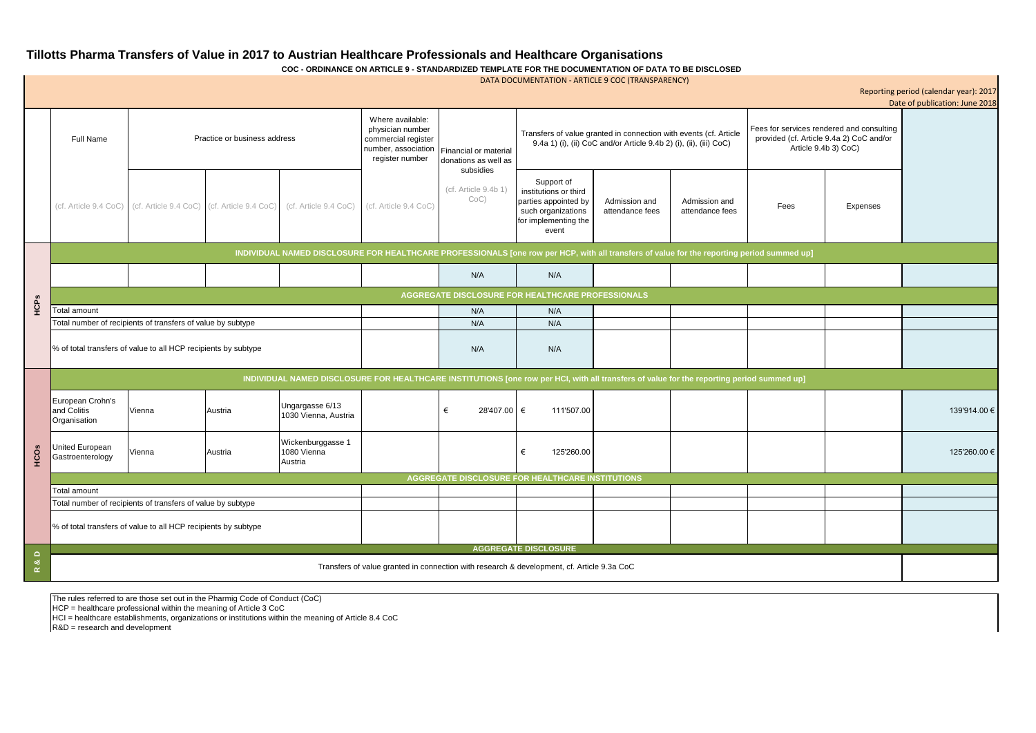The rules referred to are those set out in the Pharmig Code of Conduct (CoC)

HCP = healthcare professional within the meaning of Article 3 CoC

HCI = healthcare establishments, organizations or institutions within the meaning of Article 8.4 CoC

R&D = research and development

**Tillotts Pharma Transfers of Value in 2017 to Austrian Healthcare Professionals and Healthcare Organisations COC - ORDINANCE ON ARTICLE 9 - STANDARDIZED TEMPLATE FOR THE DOCUMENTATION OF DATA TO BE DISCLOSED**

|                |                                                                                                                                            |                                                                   |         |                                             |                                                                                                       |                                               | DATA DOCUMENTATION - ARTICLE 9 COC (TRANSPARENCY)                                                                                       |                                  |                                  |                                                                                                               |          | Reporting period (calendar year): 2017<br>Date of publication: June 2018 |
|----------------|--------------------------------------------------------------------------------------------------------------------------------------------|-------------------------------------------------------------------|---------|---------------------------------------------|-------------------------------------------------------------------------------------------------------|-----------------------------------------------|-----------------------------------------------------------------------------------------------------------------------------------------|----------------------------------|----------------------------------|---------------------------------------------------------------------------------------------------------------|----------|--------------------------------------------------------------------------|
|                | <b>Full Name</b>                                                                                                                           | Practice or business address                                      |         |                                             | Where available:<br>physician number<br>commercial register<br>number, association<br>register number | Financial or material<br>donations as well as | Transfers of value granted in connection with events (cf. Article<br>9.4a 1) (i), (ii) CoC and/or Article 9.4b 2) (i), (ii), (iii) CoC) |                                  |                                  | Fees for services rendered and consulting<br>provided (cf. Article 9.4a 2) CoC and/or<br>Article 9.4b 3) CoC) |          |                                                                          |
|                |                                                                                                                                            | (cf. Article 9.4 CoC) (cf. Article 9.4 CoC) (cf. Article 9.4 CoC) |         | (cf. Article 9.4 CoC)                       | (cf. Article 9.4 CoC)                                                                                 | subsidies<br>(cf. Article 9.4b 1)<br>$CoC$ )  | Support of<br>institutions or third<br>parties appointed by<br>such organizations<br>for implementing the<br>event                      | Admission and<br>attendance fees | Admission and<br>attendance fees | Fees                                                                                                          | Expenses |                                                                          |
|                | INDIVIDUAL NAMED DISCLOSURE FOR HEALTHCARE PROFESSIONALS [one row per HCP, with all transfers of value for the reporting period summed up] |                                                                   |         |                                             |                                                                                                       |                                               |                                                                                                                                         |                                  |                                  |                                                                                                               |          |                                                                          |
|                |                                                                                                                                            |                                                                   |         |                                             |                                                                                                       | N/A                                           | N/A                                                                                                                                     |                                  |                                  |                                                                                                               |          |                                                                          |
|                | AGGREGATE DISCLOSURE FOR HEALTHCARE PROFESSIONALS                                                                                          |                                                                   |         |                                             |                                                                                                       |                                               |                                                                                                                                         |                                  |                                  |                                                                                                               |          |                                                                          |
| HCPs           | <b>Total amount</b>                                                                                                                        |                                                                   |         |                                             |                                                                                                       | N/A                                           | N/A                                                                                                                                     |                                  |                                  |                                                                                                               |          |                                                                          |
|                | Total number of recipients of transfers of value by subtype                                                                                |                                                                   |         |                                             |                                                                                                       | N/A                                           | N/A                                                                                                                                     |                                  |                                  |                                                                                                               |          |                                                                          |
|                | % of total transfers of value to all HCP recipients by subtype                                                                             |                                                                   |         |                                             |                                                                                                       | N/A                                           | N/A                                                                                                                                     |                                  |                                  |                                                                                                               |          |                                                                          |
|                | INDIVIDUAL NAMED DISCLOSURE FOR HEALTHCARE INSTITUTIONS [one row per HCI, with all transfers of value for the reporting period summed up]  |                                                                   |         |                                             |                                                                                                       |                                               |                                                                                                                                         |                                  |                                  |                                                                                                               |          |                                                                          |
| HCOS           | European Crohn's<br>and Colitis<br>Organisation                                                                                            | Vienna                                                            | Austria | Ungargasse 6/13<br>1030 Vienna, Austria     |                                                                                                       | 28'407.00 €<br>€                              | 111'507.00                                                                                                                              |                                  |                                  |                                                                                                               |          | 139'914.00 €                                                             |
|                | United European<br>Gastroenterology                                                                                                        | Vienna                                                            | Austria | Wickenburggasse 1<br>1080 Vienna<br>Austria |                                                                                                       |                                               | 125'260.00<br>€                                                                                                                         |                                  |                                  |                                                                                                               |          | 125'260.00 €                                                             |
|                | <b>AGGREGATE DISCLOSURE FOR HEALTHCARE INSTITUTIONS</b>                                                                                    |                                                                   |         |                                             |                                                                                                       |                                               |                                                                                                                                         |                                  |                                  |                                                                                                               |          |                                                                          |
|                | Total amount                                                                                                                               |                                                                   |         |                                             |                                                                                                       |                                               |                                                                                                                                         |                                  |                                  |                                                                                                               |          |                                                                          |
|                |                                                                                                                                            | Total number of recipients of transfers of value by subtype       |         |                                             |                                                                                                       |                                               |                                                                                                                                         |                                  |                                  |                                                                                                               |          |                                                                          |
|                |                                                                                                                                            | % of total transfers of value to all HCP recipients by subtype    |         |                                             |                                                                                                       |                                               |                                                                                                                                         |                                  |                                  |                                                                                                               |          |                                                                          |
| $\Omega$       |                                                                                                                                            |                                                                   |         |                                             |                                                                                                       |                                               | <b>AGGREGATE DISCLOSURE</b>                                                                                                             |                                  |                                  |                                                                                                               |          |                                                                          |
| ಂಶ<br>$\alpha$ | Transfers of value granted in connection with research & development, cf. Article 9.3a CoC                                                 |                                                                   |         |                                             |                                                                                                       |                                               |                                                                                                                                         |                                  |                                  |                                                                                                               |          |                                                                          |

| Reporting period (calendar year): 2017<br>Date of publication: June 2018                                      |          |              |  |  |  |  |  |  |  |
|---------------------------------------------------------------------------------------------------------------|----------|--------------|--|--|--|--|--|--|--|
| Fees for services rendered and consulting<br>provided (cf. Article 9.4a 2) CoC and/or<br>Article 9.4b 3) CoC) |          |              |  |  |  |  |  |  |  |
| Fees                                                                                                          | Expenses |              |  |  |  |  |  |  |  |
| riod summed up]                                                                                               |          |              |  |  |  |  |  |  |  |
|                                                                                                               |          |              |  |  |  |  |  |  |  |
|                                                                                                               |          |              |  |  |  |  |  |  |  |
|                                                                                                               |          |              |  |  |  |  |  |  |  |
|                                                                                                               |          |              |  |  |  |  |  |  |  |
| d summed up]                                                                                                  |          |              |  |  |  |  |  |  |  |
|                                                                                                               |          | 139'914.00 € |  |  |  |  |  |  |  |
|                                                                                                               |          | 125'260.00 € |  |  |  |  |  |  |  |
|                                                                                                               |          |              |  |  |  |  |  |  |  |
|                                                                                                               |          |              |  |  |  |  |  |  |  |
|                                                                                                               |          |              |  |  |  |  |  |  |  |
|                                                                                                               |          |              |  |  |  |  |  |  |  |
|                                                                                                               |          |              |  |  |  |  |  |  |  |